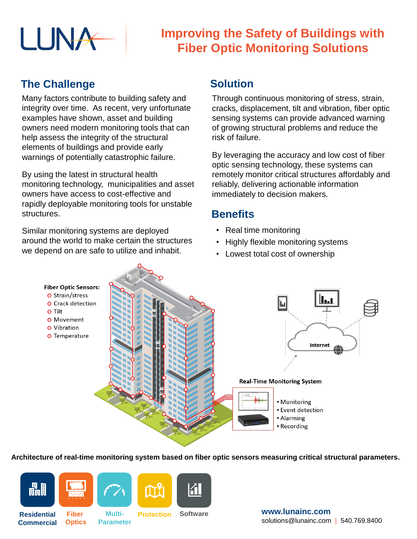

## **Improving the Safety of Buildings with Fiber Optic Monitoring Solutions**

#### **The Challenge**

Many factors contribute to building safety and integrity over time. As recent, very unfortunate examples have shown, asset and building owners need modern monitoring tools that can help assess the integrity of the structural elements of buildings and provide early warnings of potentially catastrophic failure.

By using the latest in structural health monitoring technology, municipalities and asset owners have access to cost-effective and rapidly deployable monitoring tools for unstable structures.

Similar monitoring systems are deployed around the world to make certain the structures we depend on are safe to utilize and inhabit.

### **Solution**

Through continuous monitoring of stress, strain, cracks, displacement, tilt and vibration, fiber optic sensing systems can provide advanced warning of growing structural problems and reduce the risk of failure.

By leveraging the accuracy and low cost of fiber optic sensing technology, these systems can remotely monitor critical structures affordably and reliably, delivering actionable information immediately to decision makers.

### **Benefits**

- Real time monitoring
- Highly flexible monitoring systems
- Lowest total cost of ownership



**Architecture of real-time monitoring system based on fiber optic sensors measuring critical structural parameters.**



**Residential Commercial**







**Multi-Parameter**



**Fiber Optics**

**Protection Software**

**www.lunainc.com** solutions@lunainc.com | 540.769.8400